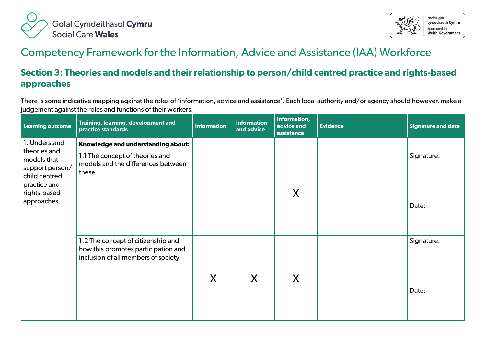



## Competency Framework for the Information, Advice and Assistance (IAA) Workforce

## **Section 3: Theories and models and their relationship to person/child centred practice and rights-based approaches**

There is some indicative mapping against the roles of 'information, advice and assistance'. Each local authority and/or agency should however, make a judgement against the roles and functions of their workers.

| <b>Learning outcome</b>                                                                                       | Training, learning, development and<br>practice standards                                                        | <b>Information</b> | <b>Information</b><br>and advice | Information,<br>advice and<br>assistance | <b>Evidence</b> | <b>Signature and date</b> |
|---------------------------------------------------------------------------------------------------------------|------------------------------------------------------------------------------------------------------------------|--------------------|----------------------------------|------------------------------------------|-----------------|---------------------------|
| 1. Understand                                                                                                 | Knowledge and understanding about:                                                                               |                    |                                  |                                          |                 |                           |
| theories and<br>models that<br>support person/<br>child centred<br>practice and<br>rights-based<br>approaches | 1.1 The concept of theories and<br>models and the differences between<br>these                                   |                    |                                  | X                                        |                 | Signature:<br>Date:       |
|                                                                                                               | 1.2 The concept of citizenship and<br>how this promotes participation and<br>inclusion of all members of society | X                  | X                                | Χ                                        |                 | Signature:<br>Date:       |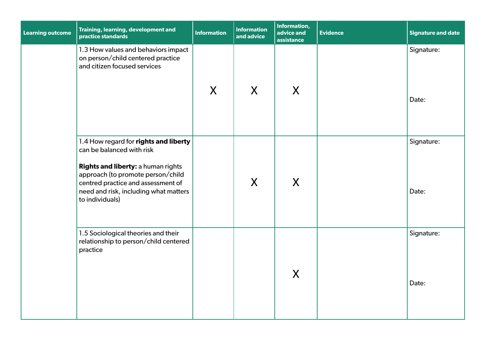| Learning outcome | Training, learning, development and<br>practice standards                                                                                                                                                                                       | <b>Information</b> | <b>Information</b><br>and advice | Information,<br>advice and<br>assistance | <b>Evidence</b> | <b>Signature and date</b> |
|------------------|-------------------------------------------------------------------------------------------------------------------------------------------------------------------------------------------------------------------------------------------------|--------------------|----------------------------------|------------------------------------------|-----------------|---------------------------|
|                  | 1.3 How values and behaviors impact<br>on person/child centered practice<br>and citizen focused services                                                                                                                                        | X                  | X                                | X                                        |                 | Signature:<br>Date:       |
|                  | 1.4 How regard for rights and liberty<br>can be balanced with risk<br>Rights and liberty: a human rights<br>approach (to promote person/child<br>centred practice and assessment of<br>need and risk, including what matters<br>to individuals) |                    | $\mathsf{X}$                     | X                                        |                 | Signature:<br>Date:       |
|                  | 1.5 Sociological theories and their<br>relationship to person/child centered<br>practice                                                                                                                                                        |                    |                                  | X                                        |                 | Signature:<br>Date:       |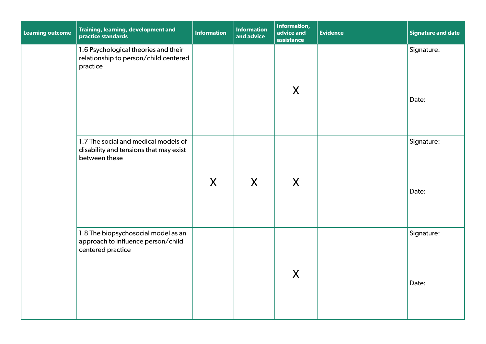| <b>Learning outcome</b> | Training, learning, development and<br>practice standards                                       | <b>Information</b> | <b>Information</b><br>and advice | Information,<br>advice and<br>assistance | <b>Evidence</b> | <b>Signature and date</b> |
|-------------------------|-------------------------------------------------------------------------------------------------|--------------------|----------------------------------|------------------------------------------|-----------------|---------------------------|
|                         | 1.6 Psychological theories and their<br>relationship to person/child centered<br>practice       |                    |                                  | X                                        |                 | Signature:<br>Date:       |
|                         | 1.7 The social and medical models of<br>disability and tensions that may exist<br>between these | $\mathsf{X}$       | X                                | X                                        |                 | Signature:<br>Date:       |
|                         | 1.8 The biopsychosocial model as an<br>approach to influence person/child<br>centered practice  |                    |                                  | X                                        |                 | Signature:<br>Date:       |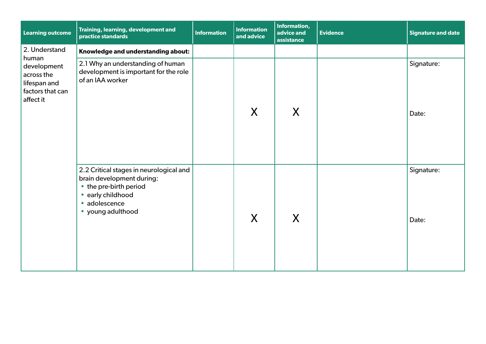| <b>Learning outcome</b>                                                             | Training, learning, development and<br>practice standards                                                                                                 | <b>Information</b> | <b>Information</b><br>and advice | Information,<br>advice and<br>assistance | <b>Evidence</b> | Signature and date  |
|-------------------------------------------------------------------------------------|-----------------------------------------------------------------------------------------------------------------------------------------------------------|--------------------|----------------------------------|------------------------------------------|-----------------|---------------------|
| 2. Understand                                                                       | Knowledge and understanding about:                                                                                                                        |                    |                                  |                                          |                 |                     |
| human<br>development<br>across the<br>lifespan and<br>factors that can<br>affect it | 2.1 Why an understanding of human<br>development is important for the role<br>of an IAA worker                                                            |                    | X                                | X                                        |                 | Signature:<br>Date: |
|                                                                                     | 2.2 Critical stages in neurological and<br>brain development during:<br>• the pre-birth period<br>• early childhood<br>• adolescence<br>• young adulthood |                    | X                                | X                                        |                 | Signature:<br>Date: |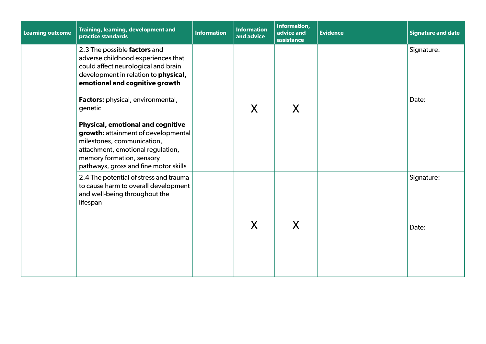| <b>Learning outcome</b> | Training, learning, development and<br>practice standards                                                                                                                                                                                                                                                                                                                                                                                                       | <b>Information</b> | <b>Information</b><br>and advice | Information,<br>advice and<br>assistance | <b>Evidence</b> | <b>Signature and date</b> |
|-------------------------|-----------------------------------------------------------------------------------------------------------------------------------------------------------------------------------------------------------------------------------------------------------------------------------------------------------------------------------------------------------------------------------------------------------------------------------------------------------------|--------------------|----------------------------------|------------------------------------------|-----------------|---------------------------|
|                         | 2.3 The possible factors and<br>adverse childhood experiences that<br>could affect neurological and brain<br>development in relation to physical,<br>emotional and cognitive growth<br>Factors: physical, environmental,<br>genetic<br><b>Physical, emotional and cognitive</b><br>growth: attainment of developmental<br>milestones, communication,<br>attachment, emotional regulation,<br>memory formation, sensory<br>pathways, gross and fine motor skills |                    | X                                | X                                        |                 | Signature:<br>Date:       |
|                         | 2.4 The potential of stress and trauma<br>to cause harm to overall development<br>and well-being throughout the<br>lifespan                                                                                                                                                                                                                                                                                                                                     |                    | X                                | X                                        |                 | Signature:<br>Date:       |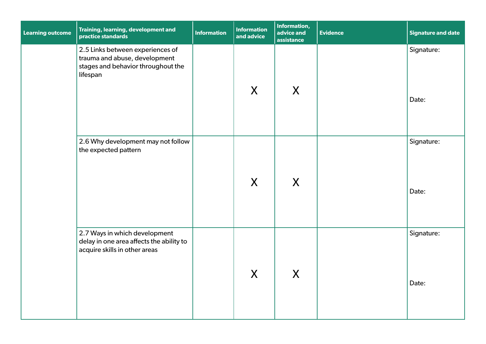| <b>Learning outcome</b> | Training, learning, development and<br>practice standards                                                           | <b>Information</b> | <b>Information</b><br>and advice | Information,<br>advice and<br>assistance | <b>Evidence</b> | <b>Signature and date</b> |
|-------------------------|---------------------------------------------------------------------------------------------------------------------|--------------------|----------------------------------|------------------------------------------|-----------------|---------------------------|
|                         | 2.5 Links between experiences of<br>trauma and abuse, development<br>stages and behavior throughout the<br>lifespan |                    | X                                | X                                        |                 | Signature:<br>Date:       |
|                         | 2.6 Why development may not follow<br>the expected pattern                                                          |                    | X                                | X                                        |                 | Signature:<br>Date:       |
|                         | 2.7 Ways in which development<br>delay in one area affects the ability to<br>acquire skills in other areas          |                    | X                                | X                                        |                 | Signature:<br>Date:       |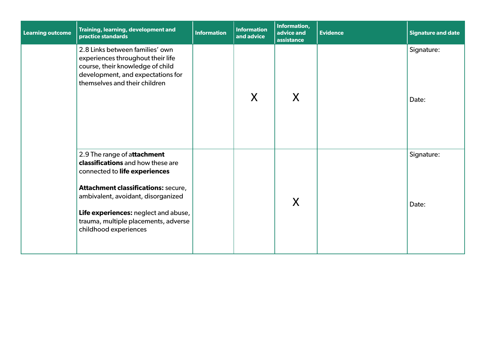| <b>Learning outcome</b> | Training, learning, development and<br>practice standards                                                                                                                                                                                                                                      | <b>Information</b> | <b>Information</b><br>and advice | Information,<br>advice and<br>assistance | <b>Evidence</b> | <b>Signature and date</b> |
|-------------------------|------------------------------------------------------------------------------------------------------------------------------------------------------------------------------------------------------------------------------------------------------------------------------------------------|--------------------|----------------------------------|------------------------------------------|-----------------|---------------------------|
|                         | 2.8 Links between families' own<br>experiences throughout their life<br>course, their knowledge of child<br>development, and expectations for<br>themselves and their children                                                                                                                 |                    | X                                | X                                        |                 | Signature:<br>Date:       |
|                         | 2.9 The range of attachment<br>classifications and how these are<br>connected to life experiences<br><b>Attachment classifications: secure,</b><br>ambivalent, avoidant, disorganized<br>Life experiences: neglect and abuse,<br>trauma, multiple placements, adverse<br>childhood experiences |                    |                                  | X                                        |                 | Signature:<br>Date:       |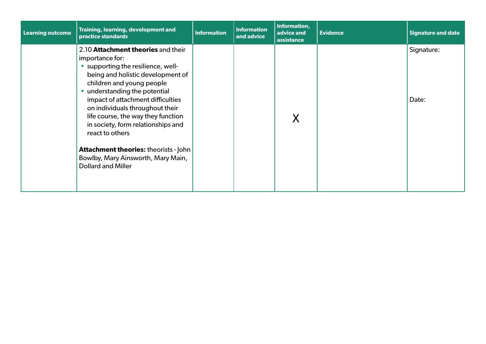| <b>Learning outcome</b> | Training, learning, development and<br>practice standards                                                                                                                                                                                                                                                                                                                                                                                                                                | <b>Information</b> | <b>Information</b><br>and advice | Information,<br>advice and<br>assistance | <b>Evidence</b> | <b>Signature and date</b> |
|-------------------------|------------------------------------------------------------------------------------------------------------------------------------------------------------------------------------------------------------------------------------------------------------------------------------------------------------------------------------------------------------------------------------------------------------------------------------------------------------------------------------------|--------------------|----------------------------------|------------------------------------------|-----------------|---------------------------|
|                         | 2.10 Attachment theories and their<br>importance for:<br>• supporting the resilience, well-<br>being and holistic development of<br>children and young people<br>• understanding the potential<br>impact of attachment difficulties<br>on individuals throughout their<br>life course, the way they function<br>in society, form relationships and<br>react to others<br><b>Attachment theories: theorists - John</b><br>Bowlby, Mary Ainsworth, Mary Main,<br><b>Dollard and Miller</b> |                    |                                  | X                                        |                 | Signature:<br>Date:       |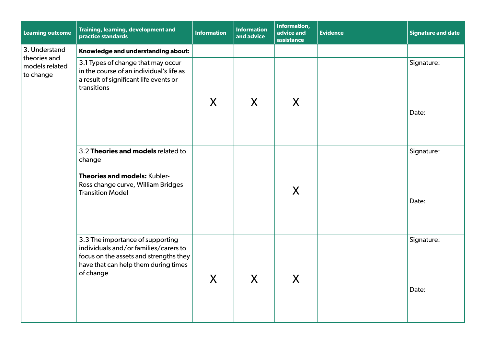| <b>Learning outcome</b>                     | Training, learning, development and<br>practice standards                                                                                                                | <b>Information</b> | <b>Information</b><br>and advice | Information,<br>advice and<br>assistance | <b>Evidence</b> | <b>Signature and date</b> |
|---------------------------------------------|--------------------------------------------------------------------------------------------------------------------------------------------------------------------------|--------------------|----------------------------------|------------------------------------------|-----------------|---------------------------|
| 3. Understand                               | Knowledge and understanding about:                                                                                                                                       |                    |                                  |                                          |                 |                           |
| theories and<br>models related<br>to change | 3.1 Types of change that may occur<br>in the course of an individual's life as<br>a result of significant life events or<br>transitions                                  |                    |                                  |                                          |                 | Signature:                |
|                                             |                                                                                                                                                                          | X                  | X                                | X                                        |                 | Date:                     |
|                                             | 3.2 Theories and models related to<br>change                                                                                                                             |                    |                                  |                                          |                 | Signature:                |
|                                             | Theories and models: Kubler-<br>Ross change curve, William Bridges<br><b>Transition Model</b>                                                                            |                    |                                  | X                                        |                 | Date:                     |
|                                             | 3.3 The importance of supporting<br>individuals and/or families/carers to<br>focus on the assets and strengths they<br>have that can help them during times<br>of change | $\boldsymbol{X}$   | Y<br>$\boldsymbol{\Lambda}$      | $\boldsymbol{X}$                         |                 | Signature:<br>Date:       |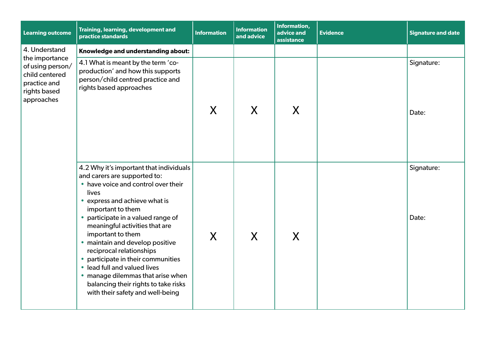| <b>Learning outcome</b>                                                                            | Training, learning, development and<br>practice standards                                                                                                                                                                                                                                                                                                                                                                                                                                                                      | <b>Information</b> | <b>Information</b><br>and advice | Information,<br>advice and<br>assistance | <b>Evidence</b> | <b>Signature and date</b> |
|----------------------------------------------------------------------------------------------------|--------------------------------------------------------------------------------------------------------------------------------------------------------------------------------------------------------------------------------------------------------------------------------------------------------------------------------------------------------------------------------------------------------------------------------------------------------------------------------------------------------------------------------|--------------------|----------------------------------|------------------------------------------|-----------------|---------------------------|
| 4. Understand                                                                                      | Knowledge and understanding about:                                                                                                                                                                                                                                                                                                                                                                                                                                                                                             |                    |                                  |                                          |                 |                           |
| the importance<br>of using person/<br>child centered<br>practice and<br>rights based<br>approaches | 4.1 What is meant by the term 'co-<br>production' and how this supports<br>person/child centred practice and<br>rights based approaches                                                                                                                                                                                                                                                                                                                                                                                        | X                  | X                                | X                                        |                 | Signature:<br>Date:       |
|                                                                                                    | 4.2 Why it's important that individuals<br>and carers are supported to:<br>• have voice and control over their<br>lives<br>• express and achieve what is<br>important to them<br>participate in a valued range of<br>meaningful activities that are<br>important to them<br>• maintain and develop positive<br>reciprocal relationships<br>• participate in their communities<br>• lead full and valued lives<br>• manage dilemmas that arise when<br>balancing their rights to take risks<br>with their safety and well-being | X                  | X                                | X                                        |                 | Signature:<br>Date:       |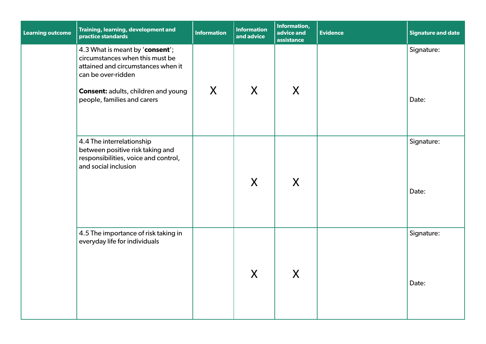| <b>Learning outcome</b> | Training, learning, development and<br>practice standards                                                                                                                                                   | <b>Information</b> | <b>Information</b><br>and advice | <b>Information,</b><br>advice and<br>assistance | <b>Evidence</b> | <b>Signature and date</b> |
|-------------------------|-------------------------------------------------------------------------------------------------------------------------------------------------------------------------------------------------------------|--------------------|----------------------------------|-------------------------------------------------|-----------------|---------------------------|
|                         | 4.3 What is meant by 'consent';<br>circumstances when this must be<br>attained and circumstances when it<br>can be over-ridden<br><b>Consent: adults, children and young</b><br>people, families and carers | X                  | X                                | X                                               |                 | Signature:<br>Date:       |
|                         | 4.4 The interrelationship<br>between positive risk taking and<br>responsibilities, voice and control,<br>and social inclusion                                                                               |                    | $\mathsf{X}$                     | X                                               |                 | Signature:<br>Date:       |
|                         | 4.5 The importance of risk taking in<br>everyday life for individuals                                                                                                                                       |                    | X                                | X                                               |                 | Signature:<br>Date:       |